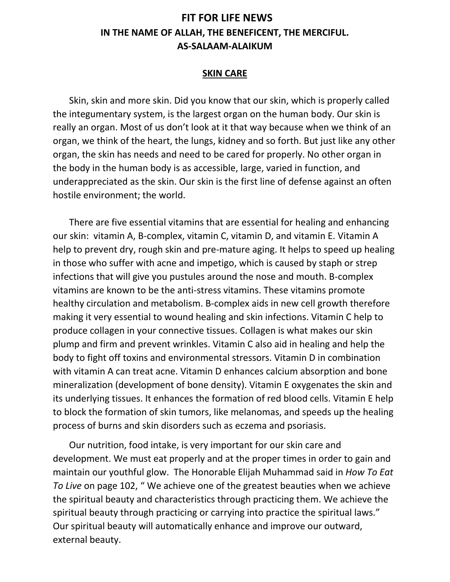## **FIT FOR LIFE NEWS IN THE NAME OF ALLAH, THE BENEFICENT, THE MERCIFUL. AS-SALAAM-ALAIKUM**

## **SKIN CARE**

 Skin, skin and more skin. Did you know that our skin, which is properly called the integumentary system, is the largest organ on the human body. Our skin is really an organ. Most of us don't look at it that way because when we think of an organ, we think of the heart, the lungs, kidney and so forth. But just like any other organ, the skin has needs and need to be cared for properly. No other organ in the body in the human body is as accessible, large, varied in function, and underappreciated as the skin. Our skin is the first line of defense against an often hostile environment; the world.

 There are five essential vitamins that are essential for healing and enhancing our skin: vitamin A, B-complex, vitamin C, vitamin D, and vitamin E. Vitamin A help to prevent dry, rough skin and pre-mature aging. It helps to speed up healing in those who suffer with acne and impetigo, which is caused by staph or strep infections that will give you pustules around the nose and mouth. B-complex vitamins are known to be the anti-stress vitamins. These vitamins promote healthy circulation and metabolism. B-complex aids in new cell growth therefore making it very essential to wound healing and skin infections. Vitamin C help to produce collagen in your connective tissues. Collagen is what makes our skin plump and firm and prevent wrinkles. Vitamin C also aid in healing and help the body to fight off toxins and environmental stressors. Vitamin D in combination with vitamin A can treat acne. Vitamin D enhances calcium absorption and bone mineralization (development of bone density). Vitamin E oxygenates the skin and its underlying tissues. It enhances the formation of red blood cells. Vitamin E help to block the formation of skin tumors, like melanomas, and speeds up the healing process of burns and skin disorders such as eczema and psoriasis.

 Our nutrition, food intake, is very important for our skin care and development. We must eat properly and at the proper times in order to gain and maintain our youthful glow. The Honorable Elijah Muhammad said in *How To Eat To Live* on page 102, " We achieve one of the greatest beauties when we achieve the spiritual beauty and characteristics through practicing them. We achieve the spiritual beauty through practicing or carrying into practice the spiritual laws." Our spiritual beauty will automatically enhance and improve our outward, external beauty.